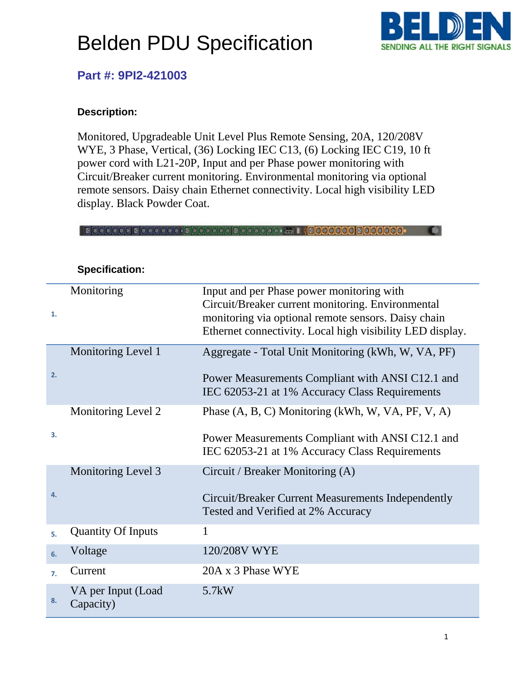

### **Part #: 9PI2-421003**

#### **Description:**

Monitored, Upgradeable Unit Level Plus Remote Sensing, 20A, 120/208V WYE, 3 Phase, Vertical, (36) Locking IEC C13, (6) Locking IEC C19, 10 ft power cord with L21-20P, Input and per Phase power monitoring with Circuit/Breaker current monitoring. Environmental monitoring via optional remote sensors. Daisy chain Ethernet connectivity. Local high visibility LED display. Black Powder Coat.

| 1.             | Monitoring                      | Input and per Phase power monitoring with<br>Circuit/Breaker current monitoring. Environmental<br>monitoring via optional remote sensors. Daisy chain<br>Ethernet connectivity. Local high visibility LED display. |
|----------------|---------------------------------|--------------------------------------------------------------------------------------------------------------------------------------------------------------------------------------------------------------------|
| 2.             | Monitoring Level 1              | Aggregate - Total Unit Monitoring (kWh, W, VA, PF)<br>Power Measurements Compliant with ANSI C12.1 and                                                                                                             |
|                |                                 | IEC 62053-21 at 1% Accuracy Class Requirements                                                                                                                                                                     |
|                | Monitoring Level 2              | Phase $(A, B, C)$ Monitoring (kWh, W, VA, PF, V, A)                                                                                                                                                                |
| 3.             |                                 | Power Measurements Compliant with ANSI C12.1 and<br>IEC 62053-21 at 1% Accuracy Class Requirements                                                                                                                 |
|                | Monitoring Level 3              | Circuit / Breaker Monitoring (A)                                                                                                                                                                                   |
| 4.             |                                 | Circuit/Breaker Current Measurements Independently<br>Tested and Verified at 2% Accuracy                                                                                                                           |
| 5.             | <b>Quantity Of Inputs</b>       | 1                                                                                                                                                                                                                  |
| 6.             | Voltage                         | 120/208V WYE                                                                                                                                                                                                       |
| 7 <sub>1</sub> | Current                         | 20A x 3 Phase WYE                                                                                                                                                                                                  |
| 8.             | VA per Input (Load<br>Capacity) | $5.7$ kW                                                                                                                                                                                                           |

#### **Specification:**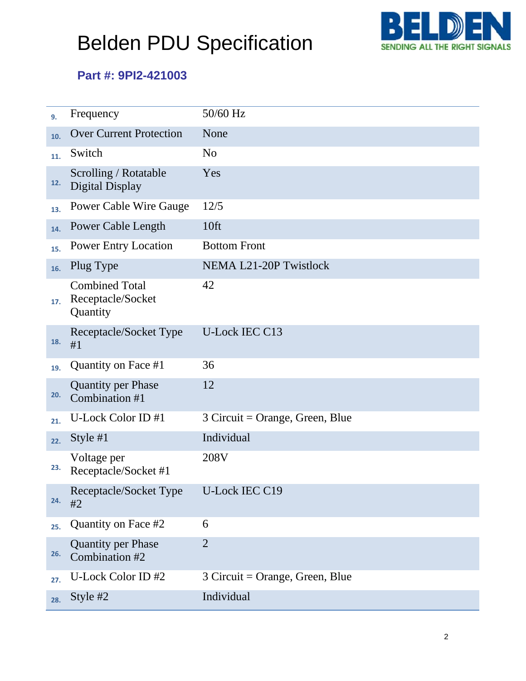

### **Part #: 9PI2-421003**

| 9.  | Frequency                                              | 50/60 Hz                          |
|-----|--------------------------------------------------------|-----------------------------------|
| 10. | <b>Over Current Protection</b>                         | None                              |
| 11. | Switch                                                 | N <sub>o</sub>                    |
| 12. | Scrolling / Rotatable<br>Digital Display               | Yes                               |
| 13. | <b>Power Cable Wire Gauge</b>                          | 12/5                              |
| 14. | Power Cable Length                                     | 10 <sup>ft</sup>                  |
| 15. | <b>Power Entry Location</b>                            | <b>Bottom Front</b>               |
| 16. | Plug Type                                              | <b>NEMA L21-20P Twistlock</b>     |
| 17. | <b>Combined Total</b><br>Receptacle/Socket<br>Quantity | 42                                |
| 18. | Receptacle/Socket Type<br>#1                           | <b>U-Lock IEC C13</b>             |
| 19. | Quantity on Face #1                                    | 36                                |
| 20. | <b>Quantity per Phase</b><br>Combination #1            | 12                                |
| 21. | U-Lock Color ID #1                                     | $3$ Circuit = Orange, Green, Blue |
| 22. | Style $#1$                                             | Individual                        |
| 23. | Voltage per<br>Receptacle/Socket #1                    | 208V                              |
| 24. | Receptacle/Socket Type<br>#2                           | <b>U-Lock IEC C19</b>             |
| 25. | Quantity on Face #2                                    | 6                                 |
| 26. | <b>Quantity per Phase</b><br>Combination #2            | $\overline{2}$                    |
| 27. | U-Lock Color ID #2                                     | $3$ Circuit = Orange, Green, Blue |
| 28. | Style #2                                               | Individual                        |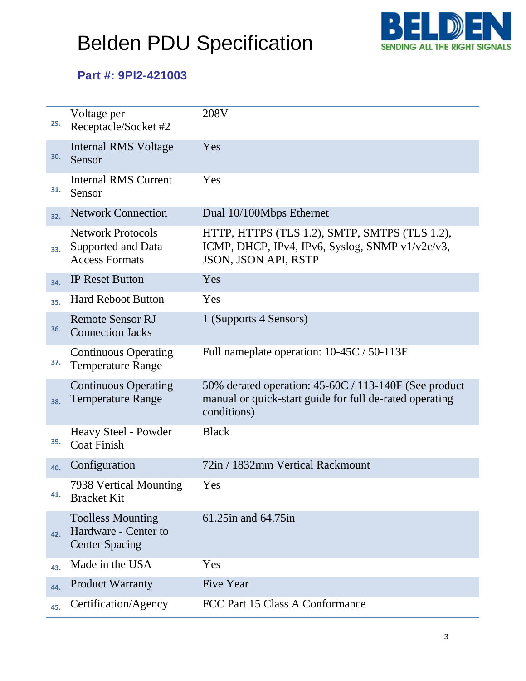

### **Part #: 9PI2-421003**

| 29. | Voltage per<br>Receptacle/Socket #2                                       | 208V                                                                                                                            |
|-----|---------------------------------------------------------------------------|---------------------------------------------------------------------------------------------------------------------------------|
| 30. | <b>Internal RMS Voltage</b><br>Sensor                                     | Yes                                                                                                                             |
| 31. | <b>Internal RMS Current</b><br>Sensor                                     | Yes                                                                                                                             |
| 32. | <b>Network Connection</b>                                                 | Dual 10/100Mbps Ethernet                                                                                                        |
| 33. | <b>Network Protocols</b><br>Supported and Data<br><b>Access Formats</b>   | HTTP, HTTPS (TLS 1.2), SMTP, SMTPS (TLS 1.2),<br>ICMP, DHCP, IPv4, IPv6, Syslog, SNMP v1/v2c/v3,<br>JSON, JSON API, RSTP        |
| 34. | <b>IP Reset Button</b>                                                    | Yes                                                                                                                             |
| 35. | <b>Hard Reboot Button</b>                                                 | Yes                                                                                                                             |
| 36. | <b>Remote Sensor RJ</b><br><b>Connection Jacks</b>                        | 1 (Supports 4 Sensors)                                                                                                          |
| 37. | <b>Continuous Operating</b><br><b>Temperature Range</b>                   | Full nameplate operation: 10-45C / 50-113F                                                                                      |
| 38. | <b>Continuous Operating</b><br><b>Temperature Range</b>                   | 50% derated operation: 45-60C / 113-140F (See product<br>manual or quick-start guide for full de-rated operating<br>conditions) |
| 39. | Heavy Steel - Powder<br><b>Coat Finish</b>                                | <b>Black</b>                                                                                                                    |
| 40. | Configuration                                                             | 72in / 1832mm Vertical Rackmount                                                                                                |
| 41. | 7938 Vertical Mounting<br><b>Bracket Kit</b>                              | Yes                                                                                                                             |
| 42. | <b>Toolless Mounting</b><br>Hardware - Center to<br><b>Center Spacing</b> | 61.25in and 64.75in                                                                                                             |
| 43. | Made in the USA                                                           | Yes                                                                                                                             |
| 44. | <b>Product Warranty</b>                                                   | Five Year                                                                                                                       |
| 45. | Certification/Agency                                                      | FCC Part 15 Class A Conformance                                                                                                 |